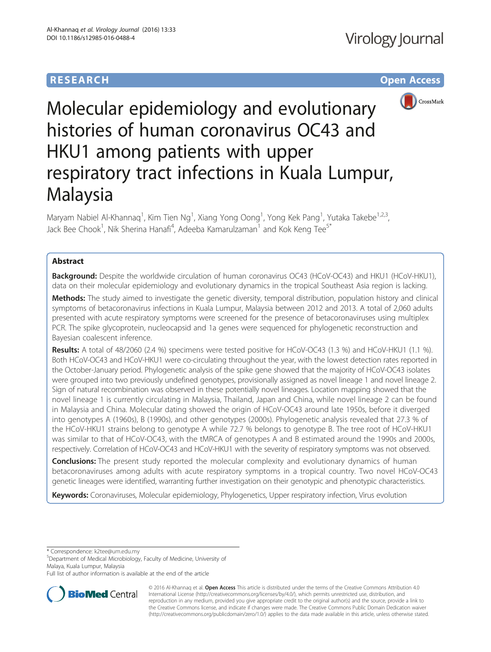# **RESEARCH CHE Open Access**



# Molecular epidemiology and evolutionary histories of human coronavirus OC43 and HKU1 among patients with upper respiratory tract infections in Kuala Lumpur, Malaysia

Maryam Nabiel Al-Khannaq<sup>1</sup>, Kim Tien Ng<sup>1</sup>, Xiang Yong Oong<sup>1</sup>, Yong Kek Pang<sup>1</sup>, Yutaka Takebe<sup>1,2,3</sup>, Jack Bee Chook<sup>1</sup>, Nik Sherina Hanafi<sup>4</sup>, Adeeba Kamarulzaman<sup>1</sup> and Kok Keng Tee<sup>5\*</sup>

# Abstract

**Background:** Despite the worldwide circulation of human coronavirus OC43 (HCoV-OC43) and HKU1 (HCoV-HKU1), data on their molecular epidemiology and evolutionary dynamics in the tropical Southeast Asia region is lacking.

Methods: The study aimed to investigate the genetic diversity, temporal distribution, population history and clinical symptoms of betacoronavirus infections in Kuala Lumpur, Malaysia between 2012 and 2013. A total of 2,060 adults presented with acute respiratory symptoms were screened for the presence of betacoronaviruses using multiplex PCR. The spike glycoprotein, nucleocapsid and 1a genes were sequenced for phylogenetic reconstruction and Bayesian coalescent inference.

Results: A total of 48/2060 (2.4 %) specimens were tested positive for HCoV-OC43 (1.3 %) and HCoV-HKU1 (1.1 %). Both HCoV-OC43 and HCoV-HKU1 were co-circulating throughout the year, with the lowest detection rates reported in the October-January period. Phylogenetic analysis of the spike gene showed that the majority of HCoV-OC43 isolates were grouped into two previously undefined genotypes, provisionally assigned as novel lineage 1 and novel lineage 2. Sign of natural recombination was observed in these potentially novel lineages. Location mapping showed that the novel lineage 1 is currently circulating in Malaysia, Thailand, Japan and China, while novel lineage 2 can be found in Malaysia and China. Molecular dating showed the origin of HCoV-OC43 around late 1950s, before it diverged into genotypes A (1960s), B (1990s), and other genotypes (2000s). Phylogenetic analysis revealed that 27.3 % of the HCoV-HKU1 strains belong to genotype A while 72.7 % belongs to genotype B. The tree root of HCoV-HKU1 was similar to that of HCoV-OC43, with the tMRCA of genotypes A and B estimated around the 1990s and 2000s, respectively. Correlation of HCoV-OC43 and HCoV-HKU1 with the severity of respiratory symptoms was not observed.

**Conclusions:** The present study reported the molecular complexity and evolutionary dynamics of human betacoronaviruses among adults with acute respiratory symptoms in a tropical country. Two novel HCoV-OC43 genetic lineages were identified, warranting further investigation on their genotypic and phenotypic characteristics.

Keywords: Coronaviruses, Molecular epidemiology, Phylogenetics, Upper respiratory infection, Virus evolution

\* Correspondence: [k2tee@um.edu.my](mailto:k2tee@um.edu.my) <sup>5</sup>

Department of Medical Microbiology, Faculty of Medicine, University of Malaya, Kuala Lumpur, Malaysia

Full list of author information is available at the end of the article



© 2016 Al-Khannag et al. Open Access This article is distributed under the terms of the Creative Commons Attribution 4.0 International License [\(http://creativecommons.org/licenses/by/4.0/](http://creativecommons.org/licenses/by/4.0/)), which permits unrestricted use, distribution, and reproduction in any medium, provided you give appropriate credit to the original author(s) and the source, provide a link to the Creative Commons license, and indicate if changes were made. The Creative Commons Public Domain Dedication waiver [\(http://creativecommons.org/publicdomain/zero/1.0/](http://creativecommons.org/publicdomain/zero/1.0/)) applies to the data made available in this article, unless otherwise stated.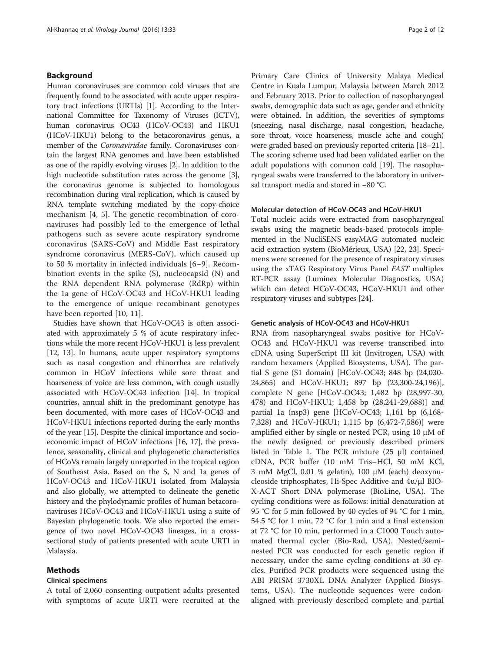# Background

Human coronaviruses are common cold viruses that are frequently found to be associated with acute upper respiratory tract infections (URTIs) [\[1\]](#page-10-0). According to the International Committee for Taxonomy of Viruses (ICTV), human coronavirus OC43 (HCoV-OC43) and HKU1 (HCoV-HKU1) belong to the betacoronavirus genus, a member of the Coronaviridae family. Coronaviruses contain the largest RNA genomes and have been established as one of the rapidly evolving viruses [\[2](#page-10-0)]. In addition to the high nucleotide substitution rates across the genome [[3](#page-10-0)], the coronavirus genome is subjected to homologous recombination during viral replication, which is caused by RNA template switching mediated by the copy-choice mechanism [[4, 5\]](#page-10-0). The genetic recombination of coronaviruses had possibly led to the emergence of lethal pathogens such as severe acute respiratory syndrome coronavirus (SARS-CoV) and Middle East respiratory syndrome coronavirus (MERS-CoV), which caused up to 50 % mortality in infected individuals [\[6](#page-10-0)–[9](#page-10-0)]. Recombination events in the spike (S), nucleocapsid (N) and the RNA dependent RNA polymerase (RdRp) within the 1a gene of HCoV-OC43 and HCoV-HKU1 leading to the emergence of unique recombinant genotypes have been reported [[10, 11](#page-10-0)].

Studies have shown that HCoV-OC43 is often associated with approximately 5 % of acute respiratory infections while the more recent HCoV-HKU1 is less prevalent [[12](#page-10-0), [13\]](#page-10-0). In humans, acute upper respiratory symptoms such as nasal congestion and rhinorrhea are relatively common in HCoV infections while sore throat and hoarseness of voice are less common, with cough usually associated with HCoV-OC43 infection [\[14](#page-10-0)]. In tropical countries, annual shift in the predominant genotype has been documented, with more cases of HCoV-OC43 and HCoV-HKU1 infections reported during the early months of the year [[15](#page-10-0)]. Despite the clinical importance and socioeconomic impact of HCoV infections [[16](#page--1-0), [17](#page--1-0)], the prevalence, seasonality, clinical and phylogenetic characteristics of HCoVs remain largely unreported in the tropical region of Southeast Asia. Based on the S, N and 1a genes of HCoV-OC43 and HCoV-HKU1 isolated from Malaysia and also globally, we attempted to delineate the genetic history and the phylodynamic profiles of human betacoronaviruses HCoV-OC43 and HCoV-HKU1 using a suite of Bayesian phylogenetic tools. We also reported the emergence of two novel HCoV-OC43 lineages, in a crosssectional study of patients presented with acute URTI in Malaysia.

#### Methods

## Clinical specimens

A total of 2,060 consenting outpatient adults presented with symptoms of acute URTI were recruited at the Primary Care Clinics of University Malaya Medical Centre in Kuala Lumpur, Malaysia between March 2012 and February 2013. Prior to collection of nasopharyngeal swabs, demographic data such as age, gender and ethnicity were obtained. In addition, the severities of symptoms (sneezing, nasal discharge, nasal congestion, headache, sore throat, voice hoarseness, muscle ache and cough) were graded based on previously reported criteria [\[18](#page--1-0)–[21](#page--1-0)]. The scoring scheme used had been validated earlier on the adult populations with common cold [[19](#page--1-0)]. The nasopharyngeal swabs were transferred to the laboratory in universal transport media and stored in −80 °C.

#### Molecular detection of HCoV-OC43 and HCoV-HKU1

Total nucleic acids were extracted from nasopharyngeal swabs using the magnetic beads-based protocols implemented in the NucliSENS easyMAG automated nucleic acid extraction system (BioMérieux, USA) [\[22, 23\]](#page--1-0). Specimens were screened for the presence of respiratory viruses using the xTAG Respiratory Virus Panel FAST multiplex RT-PCR assay (Luminex Molecular Diagnostics, USA) which can detect HCoV-OC43, HCoV-HKU1 and other respiratory viruses and subtypes [\[24\]](#page--1-0).

#### Genetic analysis of HCoV-OC43 and HCoV-HKU1

RNA from nasopharyngeal swabs positive for HCoV-OC43 and HCoV-HKU1 was reverse transcribed into cDNA using SuperScript III kit (Invitrogen, USA) with random hexamers (Applied Biosystems, USA). The partial S gene (S1 domain) [HCoV-OC43; 848 bp (24,030- 24,865) and HCoV-HKU1; 897 bp (23,300-24,196)], complete N gene [HCoV-OC43; 1,482 bp (28,997-30, 478) and HCoV-HKU1; 1,458 bp (28,241-29,688)] and partial 1a (nsp3) gene [HCoV-OC43; 1,161 bp (6,168- 7,328) and HCoV-HKU1; 1,115 bp (6,472-7,586)] were amplified either by single or nested PCR, using 10 μM of the newly designed or previously described primers listed in Table [1](#page-2-0). The PCR mixture (25 μl) contained cDNA, PCR buffer (10 mM Tris–HCl, 50 mM KCl, 3 mM MgCl, 0.01 % gelatin), 100 μM (each) deoxynucleoside triphosphates, Hi-Spec Additive and 4u/μl BIO-X-ACT Short DNA polymerase (BioLine, USA). The cycling conditions were as follows: initial denaturation at 95 °C for 5 min followed by 40 cycles of 94 °C for 1 min, 54.5 °C for 1 min, 72 °C for 1 min and a final extension at 72 °C for 10 min, performed in a C1000 Touch automated thermal cycler (Bio-Rad, USA). Nested/seminested PCR was conducted for each genetic region if necessary, under the same cycling conditions at 30 cycles. Purified PCR products were sequenced using the ABI PRISM 3730XL DNA Analyzer (Applied Biosystems, USA). The nucleotide sequences were codonaligned with previously described complete and partial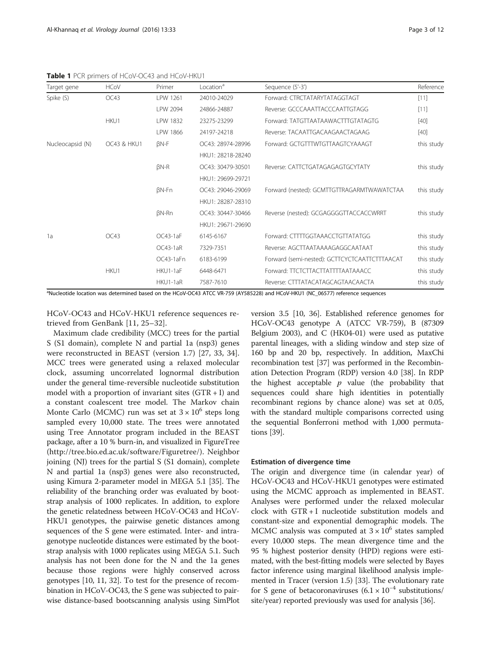<span id="page-2-0"></span>Table 1 PCR primers of HCoV-OC43 and HCoV-HKU1

| Target gene      | <b>HCoV</b> | Primer       | Location <sup>a</sup> | Sequence (5'-3')                              | Reference  |
|------------------|-------------|--------------|-----------------------|-----------------------------------------------|------------|
| Spike (S)        | OC43        | LPW 1261     | 24010-24029           | Forward: CTRCTATARYTATAGGTAGT                 | [11]       |
|                  |             | LPW 2094     | 24866-24887           | Reverse: GCCCAAATTACCCAATTGTAGG               | [11]       |
|                  | HKU1        | LPW 1832     | 23275-23299           | Forward: TATGTTAATAAWACTTTGTATAGTG            | $[40]$     |
|                  |             | LPW 1866     | 24197-24218           | Reverse: TACAATTGACAAGAACTAGAAG               | $[40]$     |
| Nucleocapsid (N) | OC43 & HKU1 | $BN-F$       | OC43: 28974-28996     | Forward: GCTGTTTWTGTTAAGTCYAAAGT              | this study |
|                  |             |              | HKU1: 28218-28240     |                                               |            |
|                  |             | $BN-R$       | OC43: 30479-30501     | Reverse: CATTCTGATAGAGAGTGCYTATY              | this study |
|                  |             |              | HKU1: 29699-29721     |                                               |            |
|                  |             | $BN-Fn$      | OC43: 29046-29069     | Forward (nested): GCMTTGTTRAGARMTWAWATCTAA    | this study |
|                  |             |              | HKU1: 28287-28310     |                                               |            |
|                  |             | <b>BN-Rn</b> | OC43: 30447-30466     | Reverse (nested): GCGAGGGGTTACCACCWRRT        | this study |
|                  |             |              | HKU1: 29671-29690     |                                               |            |
| 1a               | OC43        | $OC43-1aF$   | 6145-6167             | Forward: CTTTTGGTAAACCTGTTATATGG              | this study |
|                  |             | $OC43-1aR$   | 7329-7351             | Reverse: AGCTTAATAAAAGAGGCAATAAT              | this study |
|                  |             | OC43-1aFn    | 6183-6199             | Forward (semi-nested): GCTTCYCTCAATTCTTTAACAT | this study |
|                  | HKU1        | HKU1-1aF     | 6448-6471             | Forward: TTCTCTTACTTATTTTAATAAACC             | this study |
|                  |             | HKU1-1aR     | 7587-7610             | Reverse: CTTTATACATAGCAGTAACAACTA             | this study |

a Nucleotide location was determined based on the HCoV-OC43 ATCC VR-759 (AY585228) and HCoV-HKU1 (NC\_06577) reference sequences

HCoV-OC43 and HCoV-HKU1 reference sequences retrieved from GenBank [[11,](#page-10-0) [25](#page--1-0)–[32](#page--1-0)].

Maximum clade credibility (MCC) trees for the partial S (S1 domain), complete N and partial 1a (nsp3) genes were reconstructed in BEAST (version 1.7) [[27, 33, 34](#page--1-0)]. MCC trees were generated using a relaxed molecular clock, assuming uncorrelated lognormal distribution under the general time-reversible nucleotide substitution model with a proportion of invariant sites  $(GTR + I)$  and a constant coalescent tree model. The Markov chain Monte Carlo (MCMC) run was set at  $3 \times 10^6$  steps long sampled every 10,000 state. The trees were annotated using Tree Annotator program included in the BEAST package, after a 10 % burn-in, and visualized in FigureTree (<http://tree.bio.ed.ac.uk/software/Figuretree/>). Neighbor joining (NJ) trees for the partial S (S1 domain), complete N and partial 1a (nsp3) genes were also reconstructed, using Kimura 2-parameter model in MEGA 5.1 [\[35](#page--1-0)]. The reliability of the branching order was evaluated by bootstrap analysis of 1000 replicates. In addition, to explore the genetic relatedness between HCoV-OC43 and HCoV-HKU1 genotypes, the pairwise genetic distances among sequences of the S gene were estimated. Inter- and intragenotype nucleotide distances were estimated by the bootstrap analysis with 1000 replicates using MEGA 5.1. Such analysis has not been done for the N and the 1a genes because those regions were highly conserved across genotypes [[10](#page-10-0), [11](#page-10-0), [32\]](#page--1-0). To test for the presence of recombination in HCoV-OC43, the S gene was subjected to pairwise distance-based bootscanning analysis using SimPlot version 3.5 [\[10](#page-10-0), [36\]](#page--1-0). Established reference genomes for HCoV-OC43 genotype A (ATCC VR-759), B (87309 Belgium 2003), and C (HK04-01) were used as putative parental lineages, with a sliding window and step size of 160 bp and 20 bp, respectively. In addition, MaxChi recombination test [\[37\]](#page--1-0) was performed in the Recombination Detection Program (RDP) version 4.0 [\[38\]](#page--1-0). In RDP the highest acceptable  $p$  value (the probability that sequences could share high identities in potentially recombinant regions by chance alone) was set at 0.05, with the standard multiple comparisons corrected using the sequential Bonferroni method with 1,000 permutations [\[39\]](#page--1-0).

#### Estimation of divergence time

The origin and divergence time (in calendar year) of HCoV-OC43 and HCoV-HKU1 genotypes were estimated using the MCMC approach as implemented in BEAST. Analyses were performed under the relaxed molecular clock with GTR + I nucleotide substitution models and constant-size and exponential demographic models. The MCMC analysis was computed at  $3 \times 10^6$  states sampled every 10,000 steps. The mean divergence time and the 95 % highest posterior density (HPD) regions were estimated, with the best-fitting models were selected by Bayes factor inference using marginal likelihood analysis implemented in Tracer (version 1.5) [\[33\]](#page--1-0). The evolutionary rate for S gene of betacoronaviruses  $(6.1 \times 10^{-4}$  substitutions/ site/year) reported previously was used for analysis [\[36\]](#page--1-0).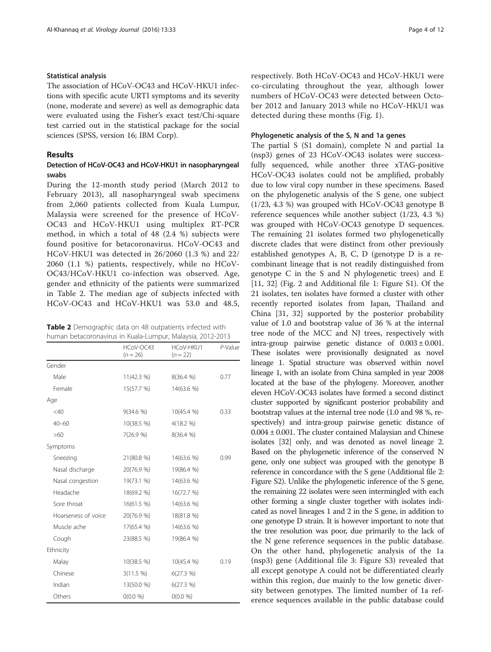#### Statistical analysis

The association of HCoV-OC43 and HCoV-HKU1 infections with specific acute URTI symptoms and its severity (none, moderate and severe) as well as demographic data were evaluated using the Fisher's exact test/Chi-square test carried out in the statistical package for the social sciences (SPSS, version 16; IBM Corp).

## Results

# Detection of HCoV-OC43 and HCoV-HKU1 in nasopharyngeal swabs

During the 12-month study period (March 2012 to February 2013), all nasopharyngeal swab specimens from 2,060 patients collected from Kuala Lumpur, Malaysia were screened for the presence of HCoV-OC43 and HCoV-HKU1 using multiplex RT-PCR method, in which a total of 48 (2.4 %) subjects were found positive for betacoronavirus. HCoV-OC43 and HCoV-HKU1 was detected in 26/2060 (1.3 %) and 22/ 2060 (1.1 %) patients, respectively, while no HCoV-OC43/HCoV-HKU1 co-infection was observed. Age, gender and ethnicity of the patients were summarized in Table 2. The median age of subjects infected with HCoV-OC43 and HCoV-HKU1 was 53.0 and 48.5,

| <b>Table 2</b> Demographic data on 48 outpatients infected with |  |
|-----------------------------------------------------------------|--|
| human betacoronavirus in Kuala-Lumpur, Malaysia, 2012-2013      |  |

|                     | HCoV-OC43<br>$(n = 26)$ | HCoV-HKU1<br>$(n = 22)$ | P-Value |
|---------------------|-------------------------|-------------------------|---------|
| Gender              |                         |                         |         |
| Male                | 11(42.3 %)              | 8(36.4 %)               | 0.77    |
| Female              | 15(57.7 %)              | 14(63.6 %)              |         |
| Age                 |                         |                         |         |
| $<$ 40              | 9(34.6 %)               | 10(45.4 %)              | 0.33    |
| $40 - 60$           | 10(38.5 %)              | 4(18.2 %)               |         |
| >60                 | 7(26.9 %)               | 8(36.4 %)               |         |
| Symptoms            |                         |                         |         |
| Sneezing            | 21(80.8 %)              | 14(63.6 %)              | 0.99    |
| Nasal discharge     | 20(76.9 %)              | 19(86.4 %)              |         |
| Nasal congestion    | 19(73.1 %)              | 14(63.6 %)              |         |
| Headache            | 18(69.2 %)              | 16(72.7 %)              |         |
| Sore throat         | 16(61.5 %)              | 14(63.6 %)              |         |
| Hoarseness of voice | 20(76.9 %)              | 18(81.8 %)              |         |
| Muscle ache         | 17(65.4 %)              | 14(63.6 %)              |         |
| Cough               | 23(88.5 %)              | 19(86.4 %)              |         |
| Ethnicity           |                         |                         |         |
| Malay               | 10(38.5 %)              | 10(45.4 %)              | 0.19    |
| Chinese             | 3(11.5 %)               | 6(27.3 %)               |         |
| Indian              | 13(50.0 %)              | 6(27.3 %)               |         |
| Others              | 0(0.0 %)                | 0(0.0 %)                |         |

respectively. Both HCoV-OC43 and HCoV-HKU1 were co-circulating throughout the year, although lower numbers of HCoV-OC43 were detected between October 2012 and January 2013 while no HCoV-HKU1 was detected during these months (Fig. [1](#page-4-0)).

#### Phylogenetic analysis of the S, N and 1a genes

The partial S (S1 domain), complete N and partial 1a (nsp3) genes of 23 HCoV-OC43 isolates were successfully sequenced, while another three xTAG-positive HCoV-OC43 isolates could not be amplified, probably due to low viral copy number in these specimens. Based on the phylogenetic analysis of the S gene, one subject (1/23, 4.3 %) was grouped with HCoV-OC43 genotype B reference sequences while another subject (1/23, 4.3 %) was grouped with HCoV-OC43 genotype D sequences. The remaining 21 isolates formed two phylogenetically discrete clades that were distinct from other previously established genotypes A, B, C, D (genotype D is a recombinant lineage that is not readily distinguished from genotype C in the S and N phylogenetic trees) and E [[11,](#page-10-0) [32](#page--1-0)] (Fig. [2](#page-6-0) and Additional file [1](#page-9-0): Figure S1). Of the 21 isolates, ten isolates have formed a cluster with other recently reported isolates from Japan, Thailand and China [[31](#page--1-0), [32\]](#page--1-0) supported by the posterior probability value of 1.0 and bootstrap value of 36 % at the internal tree node of the MCC and NJ trees, respectively with intra-group pairwise genetic distance of  $0.003 \pm 0.001$ . These isolates were provisionally designated as novel lineage 1. Spatial structure was observed within novel lineage 1, with an isolate from China sampled in year 2008 located at the base of the phylogeny. Moreover, another eleven HCoV-OC43 isolates have formed a second distinct cluster supported by significant posterior probability and bootstrap values at the internal tree node (1.0 and 98 %, respectively) and intra-group pairwise genetic distance of 0.004 ± 0.001. The cluster contained Malaysian and Chinese isolates [\[32\]](#page--1-0) only, and was denoted as novel lineage 2. Based on the phylogenetic inference of the conserved N gene, only one subject was grouped with the genotype B reference in concordance with the S gene (Additional file [2](#page-9-0): Figure S2). Unlike the phylogenetic inference of the S gene, the remaining 22 isolates were seen intermingled with each other forming a single cluster together with isolates indicated as novel lineages 1 and 2 in the S gene, in addition to one genotype D strain. It is however important to note that the tree resolution was poor, due primarily to the lack of the N gene reference sequences in the public database. On the other hand, phylogenetic analysis of the 1a (nsp3) gene (Additional file [3:](#page-9-0) Figure S3) revealed that all except genotype A could not be differentiated clearly within this region, due mainly to the low genetic diversity between genotypes. The limited number of 1a reference sequences available in the public database could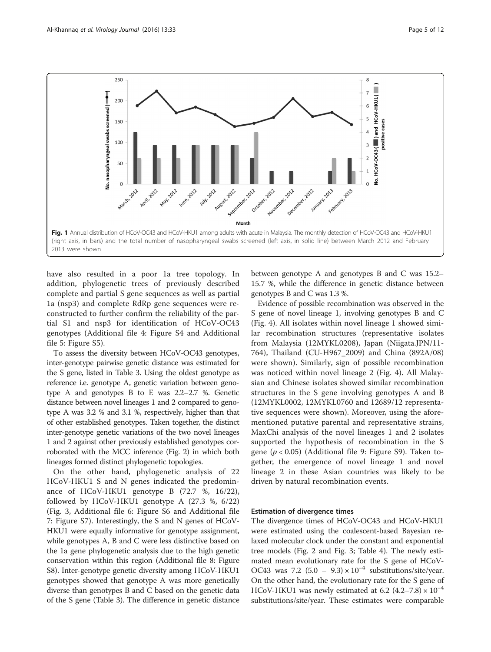<span id="page-4-0"></span>

have also resulted in a poor 1a tree topology. In addition, phylogenetic trees of previously described complete and partial S gene sequences as well as partial 1a (nsp3) and complete RdRp gene sequences were reconstructed to further confirm the reliability of the partial S1 and nsp3 for identification of HCoV-OC43 genotypes (Additional file [4:](#page-10-0) Figure S4 and Additional file [5](#page-10-0): Figure S5).

To assess the diversity between HCoV-OC43 genotypes, inter-genotype pairwise genetic distance was estimated for the S gene, listed in Table [3](#page-6-0). Using the oldest genotype as reference i.e. genotype A, genetic variation between genotype A and genotypes B to E was 2.2–2.7 %. Genetic distance between novel lineages 1 and 2 compared to genotype A was 3.2 % and 3.1 %, respectively, higher than that of other established genotypes. Taken together, the distinct inter-genotype genetic variations of the two novel lineages 1 and 2 against other previously established genotypes corroborated with the MCC inference (Fig. [2\)](#page-6-0) in which both lineages formed distinct phylogenetic topologies.

On the other hand, phylogenetic analysis of 22 HCoV-HKU1 S and N genes indicated the predominance of HCoV-HKU1 genotype B (72.7 %, 16/22), followed by HCoV-HKU1 genotype A (27.3 %, 6/22) (Fig. [3,](#page-7-0) Additional file [6:](#page-10-0) Figure S6 and Additional file [7:](#page-10-0) Figure S7). Interestingly, the S and N genes of HCoV-HKU1 were equally informative for genotype assignment, while genotypes A, B and C were less distinctive based on the 1a gene phylogenetic analysis due to the high genetic conservation within this region (Additional file [8](#page-10-0): Figure S8). Inter-genotype genetic diversity among HCoV-HKU1 genotypes showed that genotype A was more genetically diverse than genotypes B and C based on the genetic data of the S gene (Table [3\)](#page-6-0). The difference in genetic distance between genotype A and genotypes B and C was 15.2– 15.7 %, while the difference in genetic distance between genotypes B and C was 1.3 %.

Evidence of possible recombination was observed in the S gene of novel lineage 1, involving genotypes B and C (Fig. [4\)](#page-8-0). All isolates within novel lineage 1 showed similar recombination structures (representative isolates from Malaysia (12MYKL0208), Japan (Niigata.JPN/11- 764), Thailand (CU-H967\_2009) and China (892A/08) were shown). Similarly, sign of possible recombination was noticed within novel lineage 2 (Fig. [4](#page-8-0)). All Malaysian and Chinese isolates showed similar recombination structures in the S gene involving genotypes A and B (12MYKL0002, 12MYKL0760 and 12689/12 representative sequences were shown). Moreover, using the aforementioned putative parental and representative strains, MaxChi analysis of the novel lineages 1 and 2 isolates supported the hypothesis of recombination in the S gene ( $p < 0.05$ ) (Additional file [9](#page-10-0): Figure S9). Taken together, the emergence of novel lineage 1 and novel lineage 2 in these Asian countries was likely to be driven by natural recombination events.

#### Estimation of divergence times

The divergence times of HCoV-OC43 and HCoV-HKU1 were estimated using the coalescent-based Bayesian relaxed molecular clock under the constant and exponential tree models (Fig. [2](#page-6-0) and Fig. [3;](#page-7-0) Table [4](#page-9-0)). The newly estimated mean evolutionary rate for the S gene of HCoV-OC43 was 7.2 (5.0 – 9.3) ×  $10^{-4}$  substitutions/site/year. On the other hand, the evolutionary rate for the S gene of HCoV-HKU1 was newly estimated at 6.2  $(4.2–7.8) \times 10^{-4}$ substitutions/site/year. These estimates were comparable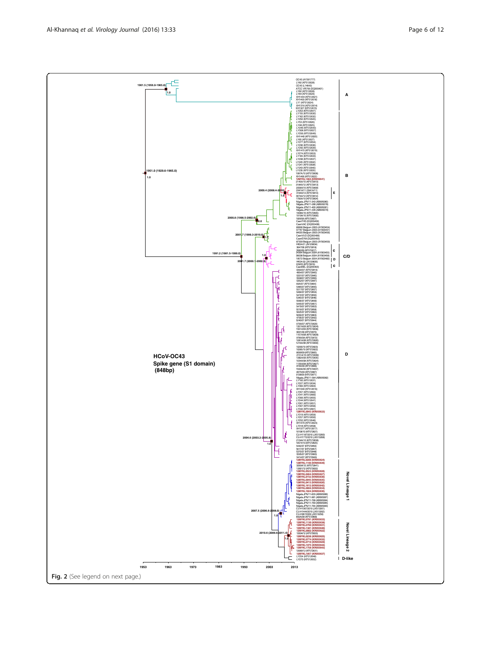**A** XH1444 (KF512621) XH1400 (KF512618) LY1 (KF512624) XH1316 (KF512614) XH1327 (KF512615) LY253 (KF512647) LY155 (KF512630) LY162 (KF512632) LY250 (KF512645) LY53 (KF512626) LY48 (KF512625) LY246 (KF512643) LY308 (KF512657) LY256 (KF512649) XH1440 (KF512620) LY65 (KF512627) LY277 (KF512654) LY236 (KF512636) LY242 (KF512639) XH1415 (KF512619) LY274 (KF512653) LY165 (KF512633) LY238 (KF512637) LY245 (KF512642) LY241 (KF512638) **1951.0 (1929.6-1965.0)** LY243 (KF512640) LY235 (KF512635) **B 1.0** 1997A/10 (KF572808) XH1466 (KF512622) **12MYKL1484 (KR055641)** 2145A/10 (KF572810) 3184A/12 (KF572813) 2058A/10 (KF572809) 2941A/11 (2941A/11) **E 2009.4 (2008.4-2010)** 3194A/12 (KF572814) 3074A/12 (KF572812) 1783A/10 (KF572804) **1.0** Niigata.JPN/11-343 (AB695080) Niigata.JPN/11-286 (AB695078) Niigata.JPN/11-400 (AB695081) Niigata.JPN/11-335 (AB695079) 1908A/10 (KF572805) 1919A/10 (KF572806) **2000.8 (1998.5-2002.6)** 1926/06 (KF572807) **0.6** CaenTHS (DQ355402) CaenVAC (DQ355408) 89996 Belgium 2003 (AY903454) 2003 84020 Belgium 2003 (AY903456) **2001.7 (1999.3-2010.0)** CaenVUO (DQ355406) **1.0** CaenEYM (DQ355405) 87309 Belgium 2003 (AY903459) HK04-01 (JN129834) 3647/06 (KF572818) **c** 3582/06 (KF572817) **1991.2 (1981.5-1999.0)** 34364 Belgium 2004 (AY903455) **C/D 1.0** 36638 Belgium 2004 (AY903458) **D** 19572 Belgium 2004 (AY903460) **2001.7 (2000.1-2002.9)** HK04-02 (JN129835)  $\int$ **c** 229/05 (KF572816) CaenBEL (DQ355403) 039A/07 (KF572819) 4954/07 (KF572843) Н 5331/07 (KF572845) 5508/07 (KF572856) 535207 (KF572847) 69A/07 (KF572864) 5485/07 (KF572855) 5517/07 (KF572857) 5484/07 (KF572854) Ŋ 5472/07 (KF572852) 5345/07 (KF572846) 5566/07 (KF572859) 544507 (KF572851) f 5479/07 (KF572853) 5519/07 (KF572858) 5625/07 (KF572862) 5656/07 (KF572863) 4795/07 (KF572842) 5240/07 (KF572844) 079A/07 (KF572820) 1357A/09 (KF572834) 1591A/09 (KF572836) 9001/09 (KF572870) 1157A/08 (KF572828) 978A/08 (KF572872) 1081A/08 (KF572826) 1216A/08 (KF572830) 10290/10 (KF572823) 10285/10 (KF572822) **D HCoV-OC43** 8099/09 (KF572865) 2151A/10 (KF572839) 1382A/09 (KF572835) 1034A/08 (KF572824) **Spike gene (S1 domain)** 1135A/08 (KF572827) 8164/09 (KF572866)  **(848bp)** 1593A/09 (KF572837) 8375/09 (KF572867) 9138/09 (KF572871) Niigata.JPN/11-564 (AB695082) LY160 (KF512631) LY227 (KF512634) LY360 (KF512663) XH1340 (KF512616) LY341 (KF512660) LY357 (KF512662) LY306 (KF512655) LY244 (KF512641) LY261 (KF512651) LY307 (KF512656) LY342 (KF512661) **12MYKL0043 (KR055623)** LY319 (KF512659) LY257 (KF512650) LY252 (KF512646) XH1470 (KF512623) LY318 (KF512658) XH1377 (KF512617) 10108/10 (KF572821) CU-H1187/2010 (JX513260) **2004.6 (2003.2-2005.8) 1.0** CU-H1772/2010 (JX513268) 2134A/10 (KF572838) 10574/10 (KF572825) E 544207 (KF572850) 5617/07 (KF572857) 5370/07 (KF572848) 5595/07 (KF572860) 5414/07 (KF572849) **12MYKL0208 (KR055624) 12MYKL1140 (KR055639)** 3269A/12 (KF572841) 12691/12 (KF572832) **12MYKL0523 (KR055628)** Novel Lineage 1 **Novel Lineage 1 12MYKL0464 (KR055627) 12MYKL0732 (KR055630) 12MYKL0945 (KR055635) 12MYKL0413 (KR055626) 12MYKL1612 (KR055642) 12MYKL0868 (KR055634) 12MYKL1024 (KR055636)** Niigata.JPN/11-833 (AB695086) Niigata.JPN/11-981 (AB695087) Niigata.JPN/11-768 (AB695084) Niigata.JPN/11-769 (AB695085) Niigata.JPN/11-764 (AB695083) CU-H1367/2010 (JX513261) **2007.5 (2006.6-2008.0)** CU-H1444/2010 (JX513262) CU-H967/2009 (JX513258) **1.0** 892A/08 (KF572868) **12MYKL0781 (KR055633) 12MYKL1130 (KR055638)** Novel Lineage 2 **Novel Lineage 2 12MYKL0760 (KR055631) 12MYKL1381 (KR055640) 12MYKL0002 (KR055622) 2010.6 (2009.6-2011.4)** 12694/12 (KF572833) **12MYKL0236 (KR055625) 1.0 12MYKL0774 (KR055632) 12MYKL0710 (KR055629) 13MYKL1975 (KR055644) 13MYKL1758 (KR055643)** 12689/12 (KF572831) **12MYKL1057 (KR055637) D-like** <sup>-</sup> LY254 (KF512648) LY270 (KF512652) **1953 1963 1973 1983 1993 2003 2013** Fig. 2 (See legend on next page.)

OC43 (AY391777) LY82 (KF512628) OC43 (L14643) ATCC VR759 (DQ355401) LY82 (KF512628) LY84 (KF512629)

**1961.5 (1956.0-1965.8)**

**1.0**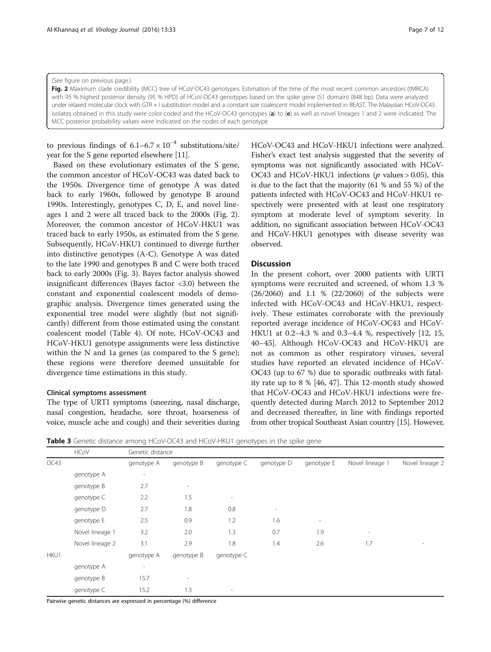<span id="page-6-0"></span>(See figure on previous page.)

Fig. 2 Maximum clade credibility (MCC) tree of HCoV-OC43 genotypes. Estimation of the time of the most recent common ancestors (tMRCA) with 95 % highest posterior density (95 % HPD) of HCoV-OC43 genotypes based on the spike gene (S1 domain) (848 bp). Data were analyzed under relaxed molecular clock with GTR + I substitution model and a constant size coalescent model implemented in BEAST. The Malaysian HCoV-OC43 isolates obtained in this study were color-coded and the HCoV-OC43 genotypes (a) to (e) as well as novel lineages 1 and 2 were indicated. The MCC posterior probability values were indicated on the nodes of each genotype

to previous findings of  $6.1-6.7 \times 10^{-4}$  substitutions/site/ year for the S gene reported elsewhere [\[11\]](#page-10-0).

Based on these evolutionary estimates of the S gene, the common ancestor of HCoV-OC43 was dated back to the 1950s. Divergence time of genotype A was dated back to early 1960s, followed by genotype B around 1990s. Interestingly, genotypes C, D, E, and novel lineages 1 and 2 were all traced back to the 2000s (Fig. 2). Moreover, the common ancestor of HCoV-HKU1 was traced back to early 1950s, as estimated from the S gene. Subsequently, HCoV-HKU1 continued to diverge further into distinctive genotypes (A-C). Genotype A was dated to the late 1990 and genotypes B and C were both traced back to early 2000s (Fig. [3\)](#page-7-0). Bayes factor analysis showed insignificant differences (Bayes factor <3.0) between the constant and exponential coalescent models of demographic analysis. Divergence times generated using the exponential tree model were slightly (but not significantly) different from those estimated using the constant coalescent model (Table [4\)](#page-9-0). Of note, HCoV-OC43 and HCoV-HKU1 genotype assignments were less distinctive within the N and 1a genes (as compared to the S gene); these regions were therefore deemed unsuitable for divergence time estimations in this study.

#### Clinical symptoms assessment

The type of URTI symptoms (sneezing, nasal discharge, nasal congestion, headache, sore throat, hoarseness of voice, muscle ache and cough) and their severities during HCoV-OC43 and HCoV-HKU1 infections were analyzed. Fisher's exact test analysis suggested that the severity of symptoms was not significantly associated with HCoV-OC43 and HCoV-HKU1 infections ( $p$  values > 0.05), this is due to the fact that the majority (61 % and 55 %) of the patients infected with HCoV-OC43 and HCoV-HKU1 respectively were presented with at least one respiratory symptom at moderate level of symptom severity. In addition, no significant association between HCoV-OC43 and HCoV-HKU1 genotypes with disease severity was observed.

#### **Discussion**

In the present cohort, over 2000 patients with URTI symptoms were recruited and screened, of whom 1.3 % (26/2060) and 1.1 % (22/2060) of the subjects were infected with HCoV-OC43 and HCoV-HKU1, respectively. These estimates corroborate with the previously reported average incidence of HCoV-OC43 and HCoV-HKU1 at 0.2–4.3 % and 0.3–4.4 %, respectively [[12, 15](#page-10-0), [40](#page--1-0)–[45](#page--1-0)]. Although HCoV-OC43 and HCoV-HKU1 are not as common as other respiratory viruses, several studies have reported an elevated incidence of HCoV-OC43 (up to 67 %) due to sporadic outbreaks with fatality rate up to 8 % [[46, 47\]](#page--1-0). This 12-month study showed that HCoV-OC43 and HCoV-HKU1 infections were frequently detected during March 2012 to September 2012 and decreased thereafter, in line with findings reported from other tropical Southeast Asian country [\[15](#page-10-0)]. However,

**Table 3** Genetic distance among HCoV-OC43 and HCoV-HKU1 genotypes in the spike gene

|      | <b>HCoV</b>     | Genetic distance         |                          |                          |            |                          |                          |                 |
|------|-----------------|--------------------------|--------------------------|--------------------------|------------|--------------------------|--------------------------|-----------------|
| OC43 |                 | genotype A               | genotype B               | genotype C               | genotype D | genotype E               | Novel lineage 1          | Novel lineage 2 |
|      | genotype A      | $\overline{\phantom{a}}$ |                          |                          |            |                          |                          |                 |
|      | genotype B      | 2.7                      | $\overline{\phantom{a}}$ |                          |            |                          |                          |                 |
|      | genotype C      | 2.2                      | 1.5                      | $\overline{\phantom{a}}$ |            |                          |                          |                 |
|      | genotype D      | 2.7                      | 1.8                      | 0.8                      | $\sim$     |                          |                          |                 |
|      | genotype E      | 2.5                      | 0.9                      | 1.2                      | 1.6        | $\overline{\phantom{a}}$ |                          |                 |
|      | Novel lineage 1 | 3.2                      | 2.0                      | 1.3                      | 0.7        | 1.9                      | $\overline{\phantom{a}}$ |                 |
|      | Novel lineage 2 | 3.1                      | 2.9                      | 1.8                      | 1.4        | 2.6                      | 1.7                      |                 |
| HKU1 |                 | genotype A               | genotype B               | genotype C               |            |                          |                          |                 |
|      | genotype A      | $\overline{\phantom{a}}$ |                          |                          |            |                          |                          |                 |
|      | genotype B      | 15.7                     | $\overline{\phantom{a}}$ |                          |            |                          |                          |                 |
|      | genotype C      | 15.2                     | 1.3                      | $\overline{\phantom{a}}$ |            |                          |                          |                 |

Pairwise genetic distances are expressed in percentage (%) difference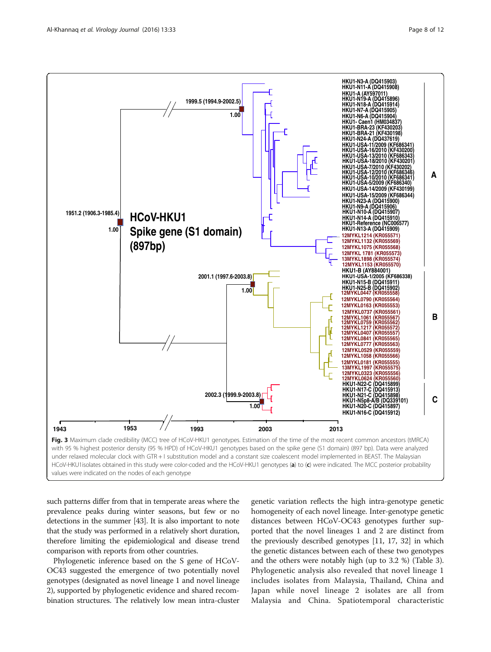<span id="page-7-0"></span>

such patterns differ from that in temperate areas where the prevalence peaks during winter seasons, but few or no detections in the summer [\[43\]](#page--1-0). It is also important to note that the study was performed in a relatively short duration, therefore limiting the epidemiological and disease trend comparison with reports from other countries.

Phylogenetic inference based on the S gene of HCoV-OC43 suggested the emergence of two potentially novel genotypes (designated as novel lineage 1 and novel lineage 2), supported by phylogenetic evidence and shared recombination structures. The relatively low mean intra-cluster

genetic variation reflects the high intra-genotype genetic homogeneity of each novel lineage. Inter-genotype genetic distances between HCoV-OC43 genotypes further supported that the novel lineages 1 and 2 are distinct from the previously described genotypes [[11](#page-10-0), [17, 32\]](#page--1-0) in which the genetic distances between each of these two genotypes and the others were notably high (up to 3.2 %) (Table [3](#page-6-0)). Phylogenetic analysis also revealed that novel lineage 1 includes isolates from Malaysia, Thailand, China and Japan while novel lineage 2 isolates are all from Malaysia and China. Spatiotemporal characteristic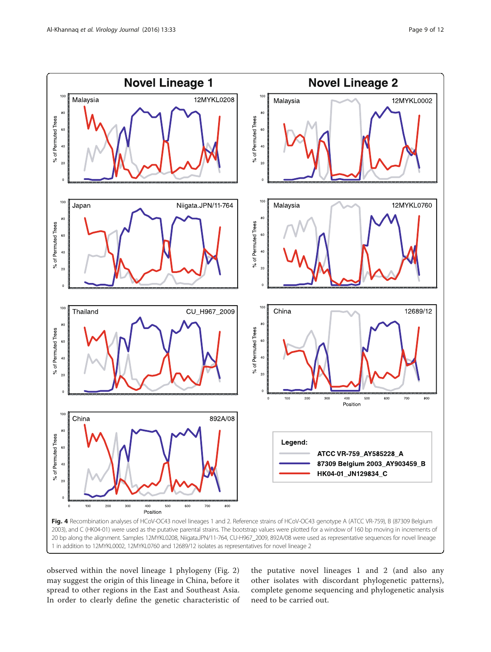<span id="page-8-0"></span>

observed within the novel lineage 1 phylogeny (Fig. [2](#page-6-0)) may suggest the origin of this lineage in China, before it spread to other regions in the East and Southeast Asia. In order to clearly define the genetic characteristic of the putative novel lineages 1 and 2 (and also any other isolates with discordant phylogenetic patterns), complete genome sequencing and phylogenetic analysis need to be carried out.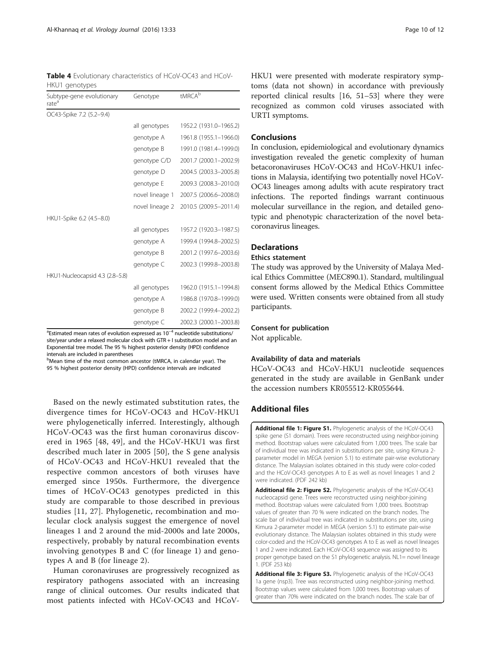<span id="page-9-0"></span>Table 4 Evolutionary characteristics of HCoV-OC43 and HCoV-HKU1 genotypes

| Subtype-gene evolutionary<br>rate <sup>a</sup> | Genotype        | tMRCA <sup>b</sup>     |
|------------------------------------------------|-----------------|------------------------|
| OC43-Spike 7.2 (5.2-9.4)                       |                 |                        |
|                                                | all genotypes   | 1952.2 (1931.0-1965.2) |
|                                                | genotype A      | 1961.8 (1955.1-1966.0) |
|                                                | genotype B      | 1991.0 (1981.4-1999.0) |
|                                                | genotype C/D    | 2001.7 (2000.1-2002.9) |
|                                                | genotype D      | 2004.5 (2003.3-2005.8) |
|                                                | genotype E      | 2009.3 (2008.3-2010.0) |
|                                                | novel lineage 1 | 2007.5 (2006.6-2008.0) |
|                                                | novel lineage 2 | 2010.5 (2009.5-2011.4) |
| HKU1-Spike 6.2 (4.5-8.0)                       |                 |                        |
|                                                | all genotypes   | 1957.2 (1920.3-1987.5) |
|                                                | genotype A      | 1999.4 (1994.8-2002.5) |
|                                                | genotype B      | 2001.2 (1997.6-2003.6) |
|                                                | genotype C      | 2002.3 (1999.8-2003.8) |
| HKU1-Nucleocapsid 4.3 (2.8-5.8)                |                 |                        |
|                                                | all genotypes   | 1962.0 (1915.1-1994.8) |
|                                                | genotype A      | 1986.8 (1970.8-1999.0) |
|                                                | genotype B      | 2002.2 (1999.4-2002.2) |
|                                                | genotype C      | 2002.3 (2000.1-2003.8) |

<sup>a</sup>Estimated mean rates of evolution expressed as 10<sup>−4</sup> nucleotide substitutions/ site/year under a relaxed molecular clock with GTR + I substitution model and an Exponential tree model. The 95 % highest posterior density (HPD) confidence intervals are included in parentheses

<sup>b</sup>Mean time of the most common ancestor (tMRCA, in calendar year). The 95 % highest posterior density (HPD) confidence intervals are indicated

Based on the newly estimated substitution rates, the divergence times for HCoV-OC43 and HCoV-HKU1 were phylogenetically inferred. Interestingly, although HCoV-OC43 was the first human coronavirus discovered in 1965 [\[48](#page--1-0), [49](#page--1-0)], and the HCoV-HKU1 was first described much later in 2005 [[50\]](#page--1-0), the S gene analysis of HCoV-OC43 and HCoV-HKU1 revealed that the respective common ancestors of both viruses have emerged since 1950s. Furthermore, the divergence times of HCoV-OC43 genotypes predicted in this study are comparable to those described in previous studies [[11](#page-10-0), [27](#page--1-0)]. Phylogenetic, recombination and molecular clock analysis suggest the emergence of novel lineages 1 and 2 around the mid-2000s and late 2000s, respectively, probably by natural recombination events involving genotypes B and C (for lineage 1) and genotypes A and B (for lineage 2).

Human coronaviruses are progressively recognized as respiratory pathogens associated with an increasing range of clinical outcomes. Our results indicated that most patients infected with HCoV-OC43 and HCoV-

HKU1 were presented with moderate respiratory symptoms (data not shown) in accordance with previously reported clinical results [[16, 51](#page--1-0)–[53\]](#page--1-0) where they were recognized as common cold viruses associated with URTI symptoms.

#### **Conclusions**

In conclusion, epidemiological and evolutionary dynamics investigation revealed the genetic complexity of human betacoronaviruses HCoV-OC43 and HCoV-HKU1 infections in Malaysia, identifying two potentially novel HCoV-OC43 lineages among adults with acute respiratory tract infections. The reported findings warrant continuous molecular surveillance in the region, and detailed genotypic and phenotypic characterization of the novel betacoronavirus lineages.

# **Declarations**

# Ethics statement

The study was approved by the University of Malaya Medical Ethics Committee (MEC890.1). Standard, multilingual consent forms allowed by the Medical Ethics Committee were used. Written consents were obtained from all study participants.

#### Consent for publication

Not applicable.

# Availability of data and materials

HCoV-OC43 and HCoV-HKU1 nucleotide sequences generated in the study are available in GenBank under the accession numbers KR055512-KR055644.

# Additional files

[Additional file 1: Figure S1.](dx.doi.org/10.1186/s12985-016-0488-4) Phylogenetic analysis of the HCoV-OC43 spike gene (S1 domain). Trees were reconstructed using neighbor-joining method. Bootstrap values were calculated from 1,000 trees. The scale bar of individual tree was indicated in substitutions per site, using Kimura 2 parameter model in MEGA (version 5.1) to estimate pair-wise evolutionary distance. The Malaysian isolates obtained in this study were color-coded and the HCoV-OC43 genotypes A to E as well as novel lineages 1 and 2 were indicated. (PDF 242 kb)

[Additional file 2: Figure S2.](dx.doi.org/10.1186/s12985-016-0488-4) Phylogenetic analysis of the HCoV-OC43 nucleocapsid gene. Trees were reconstructed using neighbor-joining method. Bootstrap values were calculated from 1,000 trees. Bootstrap values of greater than 70 % were indicated on the branch nodes. The scale bar of individual tree was indicated in substitutions per site, using Kimura 2-parameter model in MEGA (version 5.1) to estimate pair-wise evolutionary distance. The Malaysian isolates obtained in this study were color-coded and the HCoV-OC43 genotypes A to E as well as novel lineages 1 and 2 were indicated. Each HCoV-OC43 sequence was assigned to its proper genotype based on the S1 phylogenetic analysis. NL1= novel lineage 1. (PDF 253 kb)

[Additional file 3: Figure S3.](dx.doi.org/10.1186/s12985-016-0488-4) Phylogenetic analysis of the HCoV-OC43 1a gene (nsp3). Tree was reconstructed using neighbor-joining method. Bootstrap values were calculated from 1,000 trees. Bootstrap values of greater than 70% were indicated on the branch nodes. The scale bar of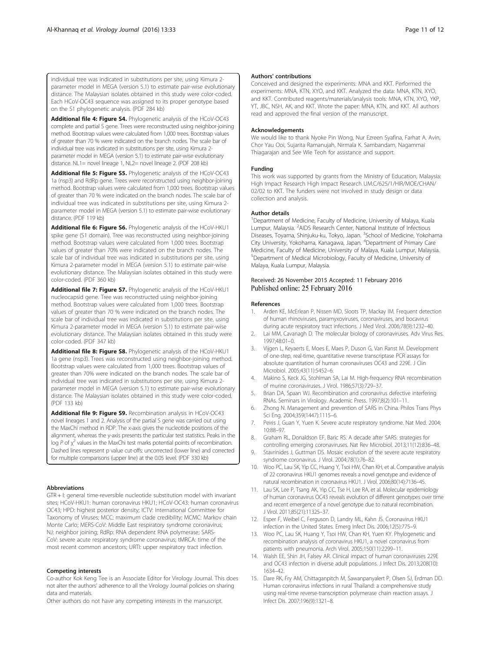<span id="page-10-0"></span>individual tree was indicated in substitutions per site, using Kimura 2 parameter model in MEGA (version 5.1) to estimate pair-wise evolutionary distance. The Malaysian isolates obtained in this study were color-coded. Each HCoV-OC43 sequence was assigned to its proper genotype based on the S1 phylogenetic analysis. (PDF 284 kb)

[Additional file 4: Figure S4.](dx.doi.org/10.1186/s12985-016-0488-4) Phylogenetic analysis of the HCoV-OC43 complete and partial S gene. Trees were reconstructed using neighbor-joining method. Bootstrap values were calculated from 1,000 trees. Bootstrap values of greater than 70 % were indicated on the branch nodes. The scale bar of individual tree was indicated in substitutions per site, using Kimura 2 parameter model in MEGA (version 5.1) to estimate pair-wise evolutionary distance. NL1= novel lineage 1, NL2= novel lineage 2. (PDF 208 kb)

[Additional file 5: Figure S5.](dx.doi.org/10.1186/s12985-016-0488-4) Phylogenetic analysis of the HCoV-OC43 1a (nsp3) and RdRp gene. Trees were reconstructed using neighbor-joining method. Bootstrap values were calculated from 1,000 trees. Bootstrap values of greater than 70 % were indicated on the branch nodes. The scale bar of individual tree was indicated in substitutions per site, using Kimura 2 parameter model in MEGA (version 5.1) to estimate pair-wise evolutionary distance. (PDF 119 kb)

[Additional file 6: Figure S6.](dx.doi.org/10.1186/s12985-016-0488-4) Phylogenetic analysis of the HCoV-HKU1 spike gene (S1 domain). Tree was reconstructed using neighbor-joining method. Bootstrap values were calculated from 1,000 trees. Bootstrap values of greater than 70% were indicated on the branch nodes. The scale bar of individual tree was indicated in substitutions per site, using Kimura 2-parameter model in MEGA (version 5.1) to estimate pair-wise evolutionary distance. The Malaysian isolates obtained in this study were color-coded. (PDF 360 kb)

[Additional file 7: Figure S7.](dx.doi.org/10.1186/s12985-016-0488-4) Phylogenetic analysis of the HCoV-HKU1 nucleocapsid gene. Tree was reconstructed using neighbor-joining method. Bootstrap values were calculated from 1,000 trees. Bootstrap values of greater than 70 % were indicated on the branch nodes. The scale bar of individual tree was indicated in substitutions per site, using Kimura 2-parameter model in MEGA (version 5.1) to estimate pair-wise evolutionary distance. The Malaysian isolates obtained in this study were color-coded. (PDF 347 kb)

[Additional file 8: Figure S8.](dx.doi.org/10.1186/s12985-016-0488-4) Phylogenetic analysis of the HCoV-HKU1 1a gene (nsp3). Trees was reconstructed using neighbor-joining method. Bootstrap values were calculated from 1,000 trees. Bootstrap values of greater than 70% were indicated on the branch nodes. The scale bar of individual tree was indicated in substitutions per site, using Kimura 2 parameter model in MEGA (version 5.1) to estimate pair-wise evolutionary distance. The Malaysian isolates obtained in this study were color-coded. (PDF 133 kb)

[Additional file 9: Figure S9.](dx.doi.org/10.1186/s12985-016-0488-4) Recombination analysis in HCoV-OC43 novel lineages 1 and 2. Analysis of the partial S gene was carried out using the MaxChi method in RDP. The x-axis gives the nucleotide positions of the alignment, whereas the y-axis presents the particular test statistics. Peaks in the  $\log P$  of  $\chi^2$  values in the MaxChi test marks potential points of recombination. Dashed lines represent p value cut-offs: uncorrected (lower line) and corrected for multiple comparisons (upper line) at the 0.05 level. (PDF 330 kb)

#### Abbreviations

GTR + I: general time-reversible nucleotide substitution model with invariant sites; HCoV-HKU1: human coronavirus HKU1; HCoV-OC43: human coronavirus OC43; HPD: highest posterior density; ICTV: International Committee for Taxonomy of Viruses; MCC: maximum clade credibility; MCMC: Markov chain Monte Carlo; MERS-CoV: Middle East respiratory syndrome coronavirus; NJ: neighbor joining; RdRp: RNA dependent RNA polymerase; SARS-CoV: severe acute respiratory syndrome coronavirus; tMRCA: time of the most recent common ancestors; URTI: upper respiratory tract infection.

#### Competing interests

Co-author Kok Keng Tee is an Associate Editor for Virology Journal. This does not alter the authors' adherence to all the Virology Journal policies on sharing data and materials.

Other authors do not have any competing interests in the manuscript.

#### Authors' contributions

Conceived and designed the experiments: MNA and KKT. Performed the experiments: MNA, KTN, XYO, and KKT. Analyzed the data: MNA, KTN, XYO, and KKT. Contributed reagents/materials/analysis tools: MNA, KTN, XYO, YKP, YT, JBC, NSH, AK, and KKT. Wrote the paper: MNA, KTN, and KKT. All authors read and approved the final version of the manuscript.

#### Acknowledgements

We would like to thank Nyoke Pin Wong, Nur Ezreen Syafina, Farhat A. Avin, Chor Yau Ooi, Sujarita Ramanujah, Nirmala K. Sambandam, Nagammai Thiagarajan and See Wie Teoh for assistance and support.

#### Funding

This work was supported by grants from the Ministry of Education, Malaysia: High Impact Research High Impact Research UM.C/625/1/HIR/MOE/CHAN/ 02/02 to KKT. The funders were not involved in study design or data collection and analysis.

#### Author details

<sup>1</sup>Department of Medicine, Faculty of Medicine, University of Malaya, Kuala Lumpur, Malaysia. <sup>2</sup>AIDS Research Center, National Institute of Infectious Diseases, Toyama, Shinjuku-ku, Tokyo, Japan. <sup>3</sup>School of Medicine, Yokohama City University, Yokohama, Kanagawa, Japan. <sup>4</sup> Department of Primary Care Medicine, Faculty of Medicine, University of Malaya, Kuala Lumpur, Malaysia. 5 Department of Medical Microbiology, Faculty of Medicine, University of Malaya, Kuala Lumpur, Malaysia.

# Received: 26 November 2015 Accepted: 11 February 2016<br>Published online: 25 February 2016

#### References

- 1. Arden KE, McErlean P, Nissen MD, Sloots TP, Mackay IM. Frequent detection of human rhinoviruses, paramyxoviruses, coronaviruses, and bocavirus during acute respiratory tract infections. J Med Virol. 2006;78(9):1232–40.
- 2. Lai MM, Cavanagh D. The molecular biology of coronaviruses. Adv Virus Res. 1997;48:01–0.
- 3. Vijgen L, Keyaerts E, Moes E, Maes P, Duson G, Van Ranst M. Development of one-step, real-time, quantitative reverse transcriptase PCR assays for absolute quantitation of human coronaviruses OC43 and 229E. J Clin Microbiol. 2005;43(11):5452–6.
- Makino S, Keck JG, Stohlman SA, Lai M. High-frequency RNA recombination of murine coronaviruses. J Virol. 1986;57(3):729–37.
- 5. Brian DA, Spaan WJ. Recombination and coronavirus defective interfering RNAs. Seminars in Virology. Academic Press. 1997;8(2):101–11.
- 6. Zhong N. Management and prevention of SARS in China. Philos Trans Phys Sci Eng. 2004;359(1447):1115–6.
- 7. Peiris J, Guan Y, Yuen K. Severe acute respiratory syndrome. Nat Med. 2004; 10:88–97.
- 8. Graham RL, Donaldson EF, Baric RS. A decade after SARS: strategies for controlling emerging coronaviruses. Nat Rev Microbiol. 2013;11(12):836–48.
- 9. Stavrinides J, Guttman DS. Mosaic evolution of the severe acute respiratory syndrome coronavirus. J Virol. 2004;78(1):76–82.
- 10. Woo PC, Lau SK, Yip CC, Huang Y, Tsoi HW, Chan KH, et al. Comparative analysis of 22 coronavirus HKU1 genomes reveals a novel genotype and evidence of natural recombination in coronavirus HKU1. J Virol. 2006;80(14):7136–45.
- 11. Lau SK, Lee P, Tsang AK, Yip CC, Tse H, Lee RA, et al. Molecular epidemiology of human coronavirus OC43 reveals evolution of different genotypes over time and recent emergence of a novel genotype due to natural recombination. J Virol. 2011;85(21):11325–37.
- 12. Esper F, Weibel C, Ferguson D, Landry ML, Kahn JS. Coronavirus HKU1 infection in the United States. Emerg Infect Dis. 2006;12(5):775–9.
- 13. Woo PC, Lau SK, Huang Y, Tsoi HW, Chan KH, Yuen KY. Phylogenetic and recombination analysis of coronavirus HKU1, a novel coronavirus from patients with pneumonia. Arch Virol. 2005;150(11):2299–11.
- 14. Walsh EE, Shin JH, Falsey AR. Clinical impact of human coronaviruses 229E and OC43 infection in diverse adult populations. J Infect Dis. 2013;208(10): 1634–42.
- 15. Dare RK, Fry AM, Chittaganpitch M, Sawanpanyalert P, Olsen SJ, Erdman DD. Human coronavirus infections in rural Thailand: a comprehensive study using real-time reverse-transcription polymerase chain reaction assays. J Infect Dis. 2007;196(9):1321–8.